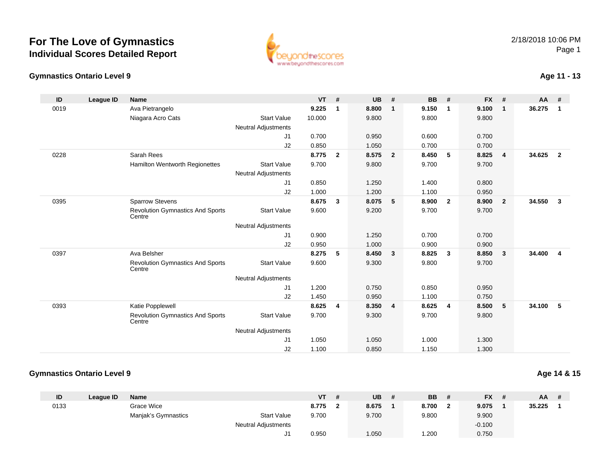# **For The Love of GymnasticsIndividual Scores Detailed Report**



#### **Gymnastics Ontario Level 9**

## **Age 11 - 13**

| ID   | League ID | <b>Name</b>                                       |                            | <b>VT</b> | #                       | <b>UB</b> | #                       | <b>BB</b> | #              | <b>FX</b> | #              | $AA$ # |                |
|------|-----------|---------------------------------------------------|----------------------------|-----------|-------------------------|-----------|-------------------------|-----------|----------------|-----------|----------------|--------|----------------|
| 0019 |           | Ava Pietrangelo                                   |                            | 9.225     | 1                       | 8.800     | $\overline{\mathbf{1}}$ | 9.150     | $\overline{1}$ | 9.100     | $\mathbf{1}$   | 36.275 | $\overline{1}$ |
|      |           | Niagara Acro Cats                                 | <b>Start Value</b>         | 10.000    |                         | 9.800     |                         | 9.800     |                | 9.800     |                |        |                |
|      |           |                                                   | <b>Neutral Adjustments</b> |           |                         |           |                         |           |                |           |                |        |                |
|      |           |                                                   | J1                         | 0.700     |                         | 0.950     |                         | 0.600     |                | 0.700     |                |        |                |
|      |           |                                                   | J2                         | 0.850     |                         | 1.050     |                         | 0.700     |                | 0.700     |                |        |                |
| 0228 |           | Sarah Rees                                        |                            | 8.775     | $\overline{2}$          | 8.575     | $\overline{\mathbf{2}}$ | 8.450     | 5              | 8.825     | 4              | 34.625 | $\overline{2}$ |
|      |           | <b>Hamilton Wentworth Regionettes</b>             | <b>Start Value</b>         | 9.700     |                         | 9.800     |                         | 9.700     |                | 9.700     |                |        |                |
|      |           |                                                   | <b>Neutral Adjustments</b> |           |                         |           |                         |           |                |           |                |        |                |
|      |           |                                                   | J1                         | 0.850     |                         | 1.250     |                         | 1.400     |                | 0.800     |                |        |                |
|      |           |                                                   | J2                         | 1.000     |                         | 1.200     |                         | 1.100     |                | 0.950     |                |        |                |
| 0395 |           | <b>Sparrow Stevens</b>                            |                            | 8.675     | $\mathbf{3}$            | 8.075     | $-5$                    | 8.900     | $\overline{2}$ | 8.900     | $\overline{2}$ | 34.550 | $\mathbf{3}$   |
|      |           | <b>Revolution Gymnastics And Sports</b><br>Centre | <b>Start Value</b>         | 9.600     |                         | 9.200     |                         | 9.700     |                | 9.700     |                |        |                |
|      |           |                                                   | <b>Neutral Adjustments</b> |           |                         |           |                         |           |                |           |                |        |                |
|      |           |                                                   | J <sub>1</sub>             | 0.900     |                         | 1.250     |                         | 0.700     |                | 0.700     |                |        |                |
|      |           |                                                   | J2                         | 0.950     |                         | 1.000     |                         | 0.900     |                | 0.900     |                |        |                |
| 0397 |           | Ava Belsher                                       |                            | 8.275     | 5                       | 8.450     | $\overline{\mathbf{3}}$ | 8.825     | $\mathbf{3}$   | 8.850     | 3              | 34.400 | $\overline{4}$ |
|      |           | <b>Revolution Gymnastics And Sports</b><br>Centre | <b>Start Value</b>         | 9.600     |                         | 9.300     |                         | 9.800     |                | 9.700     |                |        |                |
|      |           |                                                   | <b>Neutral Adjustments</b> |           |                         |           |                         |           |                |           |                |        |                |
|      |           |                                                   | J1                         | 1.200     |                         | 0.750     |                         | 0.850     |                | 0.950     |                |        |                |
|      |           |                                                   | J <sub>2</sub>             | 1.450     |                         | 0.950     |                         | 1.100     |                | 0.750     |                |        |                |
| 0393 |           | Katie Popplewell                                  |                            | 8.625     | $\overline{\mathbf{4}}$ | 8.350     | $\overline{4}$          | 8.625     | $\overline{4}$ | 8.500     | 5              | 34.100 | 5              |
|      |           | <b>Revolution Gymnastics And Sports</b><br>Centre | <b>Start Value</b>         | 9.700     |                         | 9.300     |                         | 9.700     |                | 9.800     |                |        |                |
|      |           |                                                   | <b>Neutral Adjustments</b> |           |                         |           |                         |           |                |           |                |        |                |
|      |           |                                                   | J <sub>1</sub>             | 1.050     |                         | 1.050     |                         | 1.000     |                | 1.300     |                |        |                |
|      |           |                                                   | J <sub>2</sub>             | 1.100     |                         | 0.850     |                         | 1.150     |                | 1.300     |                |        |                |

## **Gymnastics Ontario Level 9**

**Age 14 & 15**

| ID   | League ID | <b>Name</b>         |                            | <b>VT</b> | UB    | <b>BB</b> | <b>FX</b><br>- # | <b>AA</b> |  |
|------|-----------|---------------------|----------------------------|-----------|-------|-----------|------------------|-----------|--|
| 0133 |           | Grace Wice          |                            | 8.775     | 8.675 | 8.700     | 9.075            | 35.225    |  |
|      |           | Manjak's Gymnastics | <b>Start Value</b>         | 9.700     | 9.700 | 9.800     | 9.900            |           |  |
|      |           |                     | <b>Neutral Adjustments</b> |           |       |           | $-0.100$         |           |  |
|      |           |                     | ◡                          | 0.950     | .050  | .200      | 0.750            |           |  |